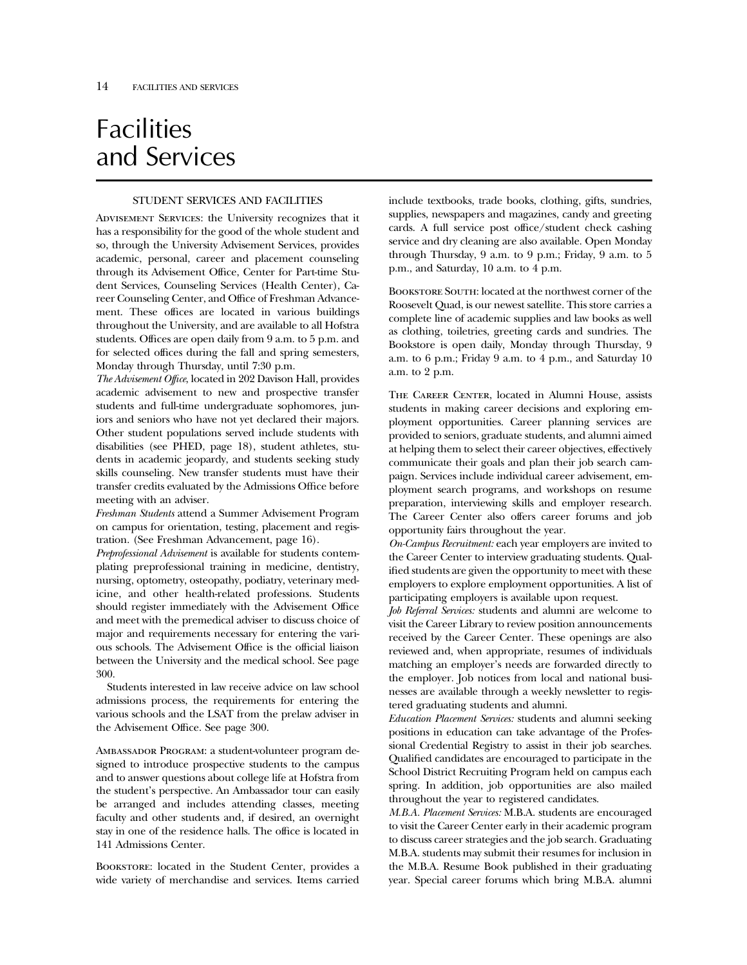# **Facilities** and Services

## STUDENT SERVICES AND FACILITIES

Advisement Services: the University recognizes that it has a responsibility for the good of the whole student and so, through the University Advisement Services, provides academic, personal, career and placement counseling through its Advisement Office, Center for Part-time Student Services, Counseling Services (Health Center), Career Counseling Center, and Office of Freshman Advancement. These offices are located in various buildings throughout the University, and are available to all Hofstra students. Offices are open daily from 9 a.m. to 5 p.m. and for selected offices during the fall and spring semesters, Monday through Thursday, until 7:30 p.m.

*The Advisement Office*, located in 202 Davison Hall, provides academic advisement to new and prospective transfer students and full-time undergraduate sophomores, juniors and seniors who have not yet declared their majors. Other student populations served include students with disabilities (see PHED, page 18), student athletes, students in academic jeopardy, and students seeking study skills counseling. New transfer students must have their transfer credits evaluated by the Admissions Office before meeting with an adviser.

*Freshman Students* attend a Summer Advisement Program on campus for orientation, testing, placement and registration. (See Freshman Advancement, page 16).

*Preprofessional Advisement* is available for students contemplating preprofessional training in medicine, dentistry, nursing, optometry, osteopathy, podiatry, veterinary medicine, and other health-related professions. Students should register immediately with the Advisement Office and meet with the premedical adviser to discuss choice of major and requirements necessary for entering the various schools. The Advisement Office is the official liaison between the University and the medical school. See page 300.

Students interested in law receive advice on law school admissions process, the requirements for entering the various schools and the LSAT from the prelaw adviser in the Advisement Office. See page 300.

Ambassador Program: a student-volunteer program designed to introduce prospective students to the campus and to answer questions about college life at Hofstra from the student's perspective. An Ambassador tour can easily be arranged and includes attending classes, meeting faculty and other students and, if desired, an overnight stay in one of the residence halls. The office is located in 141 Admissions Center.

BOOKSTORE: located in the Student Center, provides a wide variety of merchandise and services. Items carried

include textbooks, trade books, clothing, gifts, sundries, supplies, newspapers and magazines, candy and greeting cards. A full service post office/student check cashing service and dry cleaning are also available. Open Monday through Thursday, 9 a.m. to 9 p.m.; Friday, 9 a.m. to 5 p.m., and Saturday, 10 a.m. to 4 p.m.

Bookstore South: located at the northwest corner of the Roosevelt Quad, is our newest satellite. This store carries a complete line of academic supplies and law books as well as clothing, toiletries, greeting cards and sundries. The Bookstore is open daily, Monday through Thursday, 9 a.m. to 6 p.m.; Friday 9 a.m. to 4 p.m., and Saturday 10 a.m. to 2 p.m.

THE CAREER CENTER, located in Alumni House, assists students in making career decisions and exploring employment opportunities. Career planning services are provided to seniors, graduate students, and alumni aimed at helping them to select their career objectives, effectively communicate their goals and plan their job search campaign. Services include individual career advisement, employment search programs, and workshops on resume preparation, interviewing skills and employer research. The Career Center also offers career forums and job opportunity fairs throughout the year.

*On-Campus Recruitment:* each year employers are invited to the Career Center to interview graduating students. Qualified students are given the opportunity to meet with these employers to explore employment opportunities. A list of participating employers is available upon request.

*Job Referral Services:* students and alumni are welcome to visit the Career Library to review position announcements received by the Career Center. These openings are also reviewed and, when appropriate, resumes of individuals matching an employer's needs are forwarded directly to the employer. Job notices from local and national businesses are available through a weekly newsletter to registered graduating students and alumni.

*Education Placement Services:* students and alumni seeking positions in education can take advantage of the Professional Credential Registry to assist in their job searches. Qualified candidates are encouraged to participate in the School District Recruiting Program held on campus each spring. In addition, job opportunities are also mailed throughout the year to registered candidates.

*M.B.A. Placement Services:* M.B.A. students are encouraged to visit the Career Center early in their academic program to discuss career strategies and the job search. Graduating M.B.A. students may submit their resumes for inclusion in the M.B.A. Resume Book published in their graduating year. Special career forums which bring M.B.A. alumni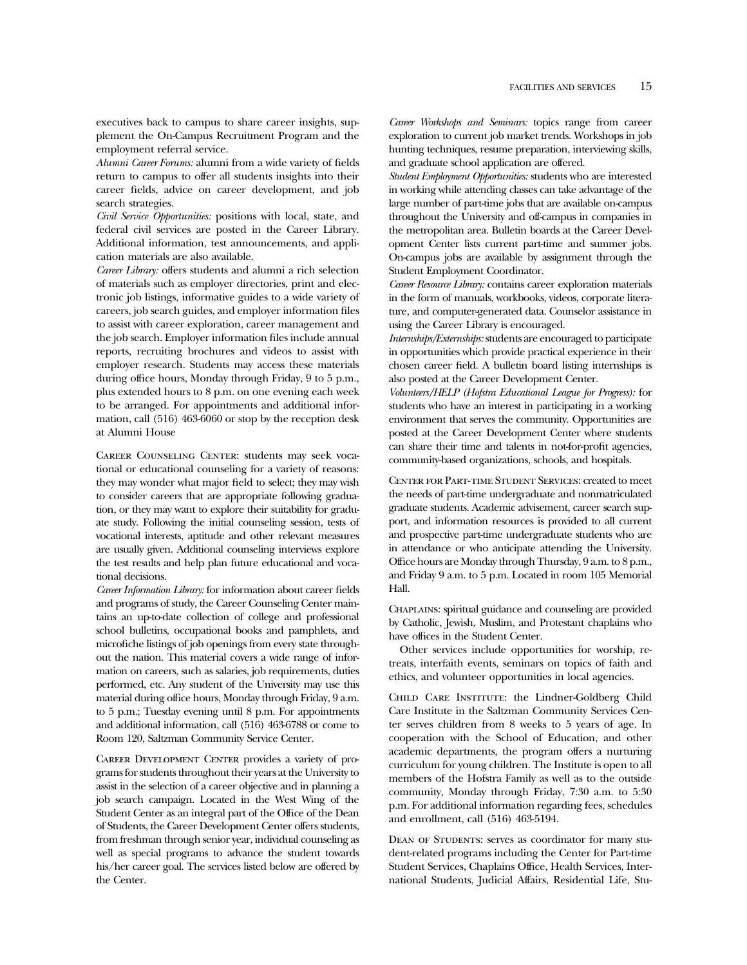executives back to campus to share career insights, supplement the On-Campus Recruitment Program and the employment referral service.

*Alumni Career Forums:* alumni from a wide variety of fields return to campus to offer all students insights into their career fields, advice on career development, and job search strategies.

*Civil Service Opportunities:* positions with local, state, and federal civil services are posted in the Career Library. Additional information, test announcements, and application materials are also available.

*Career Library:* offers students and alumni a rich selection of materials such as employer directories, print and electronic job listings, informative guides to a wide variety of careers, job search guides, and employer information files to assist with career exploration, career management and the job search. Employer information files include annual reports, recruiting brochures and videos to assist with employer research. Students may access these materials during office hours, Monday through Friday, 9 to 5 p.m., plus extended hours to 8 p.m. on one evening each week to be arranged. For appointments and additional information, call (516) 463-6060 or stop by the reception desk at Alumni House

Career Counseling Center: students may seek vocational or educational counseling for a variety of reasons: they may wonder what major field to select; they may wish to consider careers that are appropriate following graduation, or they may want to explore their suitability for graduate study. Following the initial counseling session, tests of vocational interests, aptitude and other relevant measures are usually given. Additional counseling interviews explore the test results and help plan future educational and vocational decisions.

*Career Information Library:* for information about career fields and programs of study, the Career Counseling Center maintains an up-to-date collection of college and professional school bulletins, occupational books and pamphlets, and microfiche listings of job openings from every state throughout the nation. This material covers a wide range of information on careers, such as salaries, job requirements, duties performed, etc. Any student of the University may use this material during office hours, Monday through Friday, 9 a.m. to 5 p.m.; Tuesday evening until 8 p.m. For appointments and additional information, call (516) 463-6788 or come to Room 120, Saltzman Community Service Center.

Career Development Center provides a variety of programs for students throughout their years at the University to assist in the selection of a career objective and in planning a job search campaign. Located in the West Wing of the Student Center as an integral part of the Office of the Dean of Students, the Career Development Center offers students, from freshman through senior year, individual counseling as well as special programs to advance the student towards his/her career goal. The services listed below are offered by the Center.

*Career Workshops and Seminars:* topics range from career exploration to current job market trends. Workshops in job hunting techniques, resume preparation, interviewing skills, and graduate school application are offered.

*Student Employment Opportunities:* students who are interested in working while attending classes can take advantage of the large number of part-time jobs that are available on-campus throughout the University and off-campus in companies in the metropolitan area. Bulletin boards at the Career Development Center lists current part-time and summer jobs. On-campus jobs are available by assignment through the Student Employment Coordinator.

*Career Resource Library:* contains career exploration materials in the form of manuals, workbooks, videos, corporate literature, and computer-generated data. Counselor assistance in using the Career Library is encouraged.

*Internships/Externships:*students are encouraged to participate in opportunities which provide practical experience in their chosen career field. A bulletin board listing internships is also posted at the Career Development Center.

*Volunteers/HELP (Hofstra Educational League for Progress):* for students who have an interest in participating in a working environment that serves the community. Opportunities are posted at the Career Development Center where students can share their time and talents in not-for-profit agencies, community-based organizations, schools, and hospitals.

Center for Part-time Student Services: created to meet the needs of part-time undergraduate and nonmatriculated graduate students. Academic advisement, career search support, and information resources is provided to all current and prospective part-time undergraduate students who are in attendance or who anticipate attending the University. Office hours are Monday through Thursday, 9 a.m. to 8 p.m., and Friday 9 a.m. to 5 p.m. Located in room 105 Memorial Hall.

Chaplains: spiritual guidance and counseling are provided by Catholic, Jewish, Muslim, and Protestant chaplains who have offices in the Student Center.

Other services include opportunities for worship, retreats, interfaith events, seminars on topics of faith and ethics, and volunteer opportunities in local agencies.

Child Care Institute: the Lindner-Goldberg Child Care Institute in the Saltzman Community Services Center serves children from 8 weeks to 5 years of age. In cooperation with the School of Education, and other academic departments, the program offers a nurturing curriculum for young children. The Institute is open to all members of the Hofstra Family as well as to the outside community, Monday through Friday, 7:30 a.m. to 5:30 p.m. For additional information regarding fees, schedules and enrollment, call (516) 463-5194.

DEAN OF STUDENTS: serves as coordinator for many student-related programs including the Center for Part-time Student Services, Chaplains Office, Health Services, International Students, Judicial Affairs, Residential Life, Stu-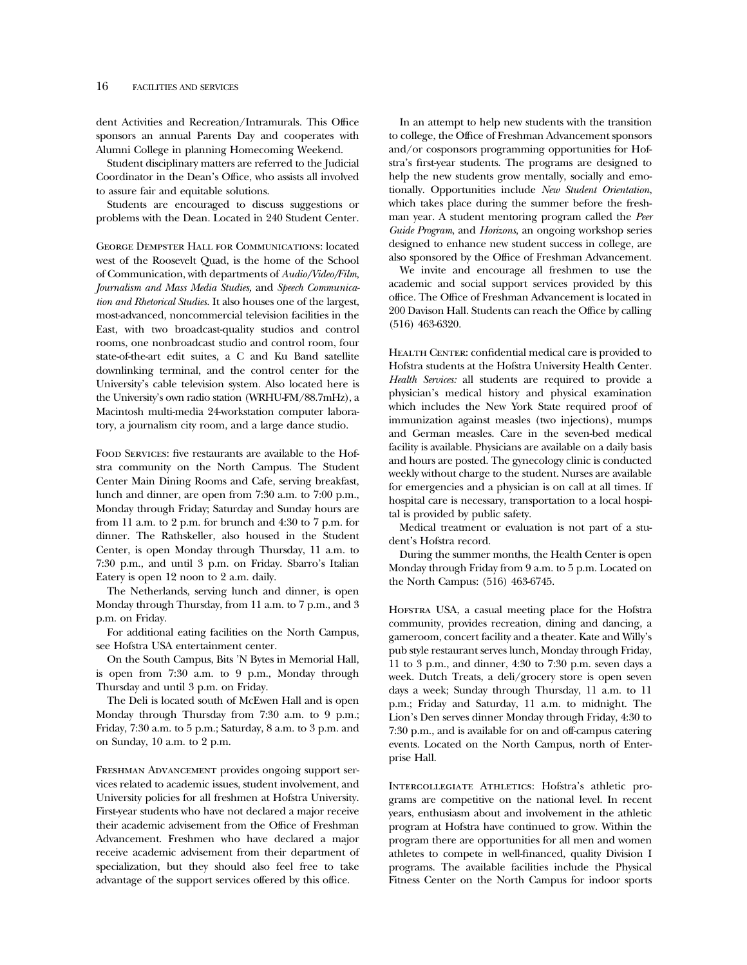dent Activities and Recreation/Intramurals. This Office sponsors an annual Parents Day and cooperates with Alumni College in planning Homecoming Weekend.

Student disciplinary matters are referred to the Judicial Coordinator in the Dean's Office, who assists all involved to assure fair and equitable solutions.

Students are encouraged to discuss suggestions or problems with the Dean. Located in 240 Student Center.

George Dempster Hall for Communications: located west of the Roosevelt Quad, is the home of the School of Communication, with departments of *Audio/Video/Film, Journalism and Mass Media Studies,* and *Speech Communication and Rhetorical Studies.* It also houses one of the largest, most-advanced, noncommercial television facilities in the East, with two broadcast-quality studios and control rooms, one nonbroadcast studio and control room, four state-of-the-art edit suites, a C and Ku Band satellite downlinking terminal, and the control center for the University's cable television system. Also located here is the University's own radio station (WRHU-FM/88.7mHz), a Macintosh multi-media 24-workstation computer laboratory, a journalism city room, and a large dance studio.

Food Services: five restaurants are available to the Hofstra community on the North Campus. The Student Center Main Dining Rooms and Cafe, serving breakfast, lunch and dinner, are open from 7:30 a.m. to 7:00 p.m., Monday through Friday; Saturday and Sunday hours are from 11 a.m. to 2 p.m. for brunch and 4:30 to 7 p.m. for dinner. The Rathskeller, also housed in the Student Center, is open Monday through Thursday, 11 a.m. to 7:30 p.m., and until 3 p.m. on Friday. Sbarro's Italian Eatery is open 12 noon to 2 a.m. daily.

The Netherlands, serving lunch and dinner, is open Monday through Thursday, from 11 a.m. to 7 p.m., and 3 p.m. on Friday.

For additional eating facilities on the North Campus, see Hofstra USA entertainment center.

On the South Campus, Bits 'N Bytes in Memorial Hall, is open from 7:30 a.m. to 9 p.m., Monday through Thursday and until 3 p.m. on Friday.

The Deli is located south of McEwen Hall and is open Monday through Thursday from 7:30 a.m. to 9 p.m.; Friday, 7:30 a.m. to 5 p.m.; Saturday, 8 a.m. to 3 p.m. and on Sunday, 10 a.m. to 2 p.m.

Freshman Advancement provides ongoing support services related to academic issues, student involvement, and University policies for all freshmen at Hofstra University. First-year students who have not declared a major receive their academic advisement from the Office of Freshman Advancement. Freshmen who have declared a major receive academic advisement from their department of specialization, but they should also feel free to take advantage of the support services offered by this office.

In an attempt to help new students with the transition to college, the Office of Freshman Advancement sponsors and/or cosponsors programming opportunities for Hofstra's first-year students. The programs are designed to help the new students grow mentally, socially and emotionally. Opportunities include *New Student Orientation*, which takes place during the summer before the freshman year. A student mentoring program called the *Peer Guide Program*, and *Horizons*, an ongoing workshop series designed to enhance new student success in college, are also sponsored by the Office of Freshman Advancement.

We invite and encourage all freshmen to use the academic and social support services provided by this office. The Office of Freshman Advancement is located in 200 Davison Hall. Students can reach the Office by calling (516) 463-6320.

HEALTH CENTER: confidential medical care is provided to Hofstra students at the Hofstra University Health Center. *Health Services:* all students are required to provide a physician's medical history and physical examination which includes the New York State required proof of immunization against measles (two injections), mumps and German measles. Care in the seven-bed medical facility is available. Physicians are available on a daily basis and hours are posted. The gynecology clinic is conducted weekly without charge to the student. Nurses are available for emergencies and a physician is on call at all times. If hospital care is necessary, transportation to a local hospital is provided by public safety.

Medical treatment or evaluation is not part of a student's Hofstra record.

During the summer months, the Health Center is open Monday through Friday from 9 a.m. to 5 p.m. Located on the North Campus: (516) 463-6745.

Hofstra USA, a casual meeting place for the Hofstra community, provides recreation, dining and dancing, a gameroom, concert facility and a theater. Kate and Willy's pub style restaurant serves lunch, Monday through Friday, 11 to 3 p.m., and dinner, 4:30 to 7:30 p.m. seven days a week. Dutch Treats, a deli/grocery store is open seven days a week; Sunday through Thursday, 11 a.m. to 11 p.m.; Friday and Saturday, 11 a.m. to midnight. The Lion's Den serves dinner Monday through Friday, 4:30 to 7:30 p.m., and is available for on and off-campus catering events. Located on the North Campus, north of Enterprise Hall.

Intercollegiate Athletics: Hofstra's athletic programs are competitive on the national level. In recent years, enthusiasm about and involvement in the athletic program at Hofstra have continued to grow. Within the program there are opportunities for all men and women athletes to compete in well-financed, quality Division I programs. The available facilities include the Physical Fitness Center on the North Campus for indoor sports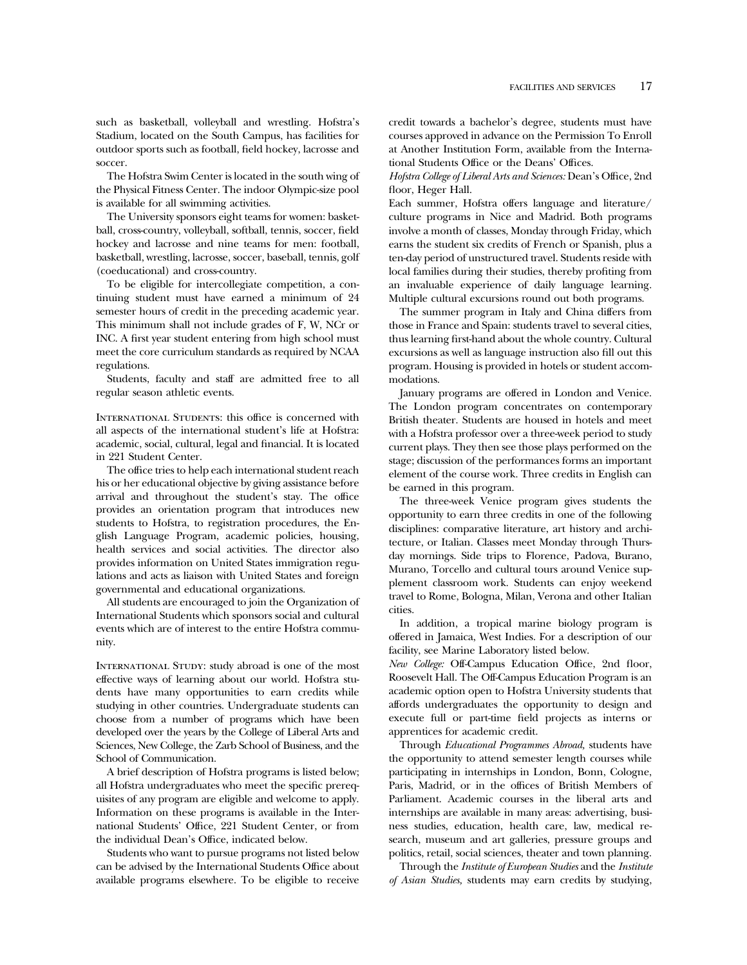such as basketball, volleyball and wrestling. Hofstra's Stadium, located on the South Campus, has facilities for outdoor sports such as football, field hockey, lacrosse and soccer.

The Hofstra Swim Center is located in the south wing of the Physical Fitness Center. The indoor Olympic-size pool is available for all swimming activities.

The University sponsors eight teams for women: basketball, cross-country, volleyball, softball, tennis, soccer, field hockey and lacrosse and nine teams for men: football, basketball, wrestling, lacrosse, soccer, baseball, tennis, golf (coeducational) and cross-country.

To be eligible for intercollegiate competition, a continuing student must have earned a minimum of 24 semester hours of credit in the preceding academic year. This minimum shall not include grades of F, W, NCr or INC. A first year student entering from high school must meet the core curriculum standards as required by NCAA regulations.

Students, faculty and staff are admitted free to all regular season athletic events.

INTERNATIONAL STUDENTS: this office is concerned with all aspects of the international student's life at Hofstra: academic, social, cultural, legal and financial. It is located in 221 Student Center.

The office tries to help each international student reach his or her educational objective by giving assistance before arrival and throughout the student's stay. The office provides an orientation program that introduces new students to Hofstra, to registration procedures, the English Language Program, academic policies, housing, health services and social activities. The director also provides information on United States immigration regulations and acts as liaison with United States and foreign governmental and educational organizations.

All students are encouraged to join the Organization of International Students which sponsors social and cultural events which are of interest to the entire Hofstra community.

INTERNATIONAL STUDY: study abroad is one of the most effective ways of learning about our world. Hofstra students have many opportunities to earn credits while studying in other countries. Undergraduate students can choose from a number of programs which have been developed over the years by the College of Liberal Arts and Sciences, New College, the Zarb School of Business, and the School of Communication.

A brief description of Hofstra programs is listed below; all Hofstra undergraduates who meet the specific prerequisites of any program are eligible and welcome to apply. Information on these programs is available in the International Students' Office, 221 Student Center, or from the individual Dean's Office, indicated below.

Students who want to pursue programs not listed below can be advised by the International Students Office about available programs elsewhere. To be eligible to receive

credit towards a bachelor's degree, students must have courses approved in advance on the Permission To Enroll at Another Institution Form, available from the International Students Office or the Deans' Offices.

*Hofstra College of Liberal Arts and Sciences:* Dean's Office, 2nd floor, Heger Hall.

Each summer, Hofstra offers language and literature/ culture programs in Nice and Madrid. Both programs involve a month of classes, Monday through Friday, which earns the student six credits of French or Spanish, plus a ten-day period of unstructured travel. Students reside with local families during their studies, thereby profiting from an invaluable experience of daily language learning. Multiple cultural excursions round out both programs.

The summer program in Italy and China differs from those in France and Spain: students travel to several cities, thus learning first-hand about the whole country. Cultural excursions as well as language instruction also fill out this program. Housing is provided in hotels or student accommodations.

January programs are offered in London and Venice. The London program concentrates on contemporary British theater. Students are housed in hotels and meet with a Hofstra professor over a three-week period to study current plays. They then see those plays performed on the stage; discussion of the performances forms an important element of the course work. Three credits in English can be earned in this program.

The three-week Venice program gives students the opportunity to earn three credits in one of the following disciplines: comparative literature, art history and architecture, or Italian. Classes meet Monday through Thursday mornings. Side trips to Florence, Padova, Burano, Murano, Torcello and cultural tours around Venice supplement classroom work. Students can enjoy weekend travel to Rome, Bologna, Milan, Verona and other Italian cities.

In addition, a tropical marine biology program is offered in Jamaica, West Indies. For a description of our facility, see Marine Laboratory listed below.

*New College:* Off-Campus Education Office, 2nd floor, Roosevelt Hall. The Off-Campus Education Program is an academic option open to Hofstra University students that affords undergraduates the opportunity to design and execute full or part-time field projects as interns or apprentices for academic credit.

Through *Educational Programmes Abroad,* students have the opportunity to attend semester length courses while participating in internships in London, Bonn, Cologne, Paris, Madrid, or in the offices of British Members of Parliament. Academic courses in the liberal arts and internships are available in many areas: advertising, business studies, education, health care, law, medical research, museum and art galleries, pressure groups and politics, retail, social sciences, theater and town planning.

Through the *Institute of European Studies* and the *Institute of Asian Studies,* students may earn credits by studying,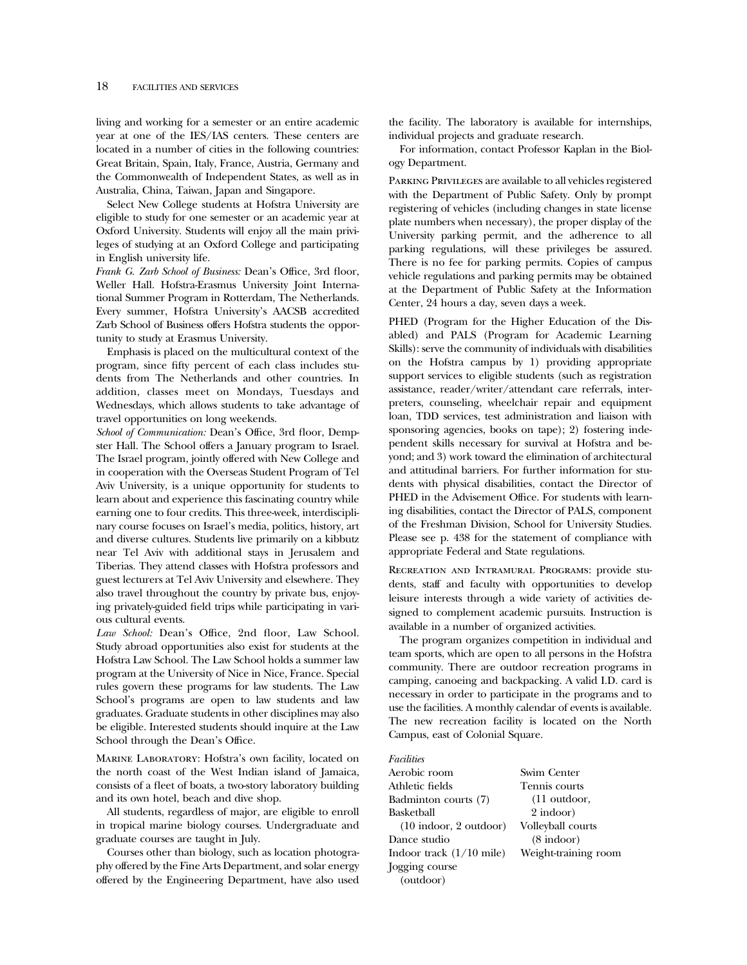living and working for a semester or an entire academic year at one of the IES/IAS centers. These centers are located in a number of cities in the following countries: Great Britain, Spain, Italy, France, Austria, Germany and the Commonwealth of Independent States, as well as in Australia, China, Taiwan, Japan and Singapore.

Select New College students at Hofstra University are eligible to study for one semester or an academic year at Oxford University. Students will enjoy all the main privileges of studying at an Oxford College and participating in English university life.

*Frank G. Zarb School of Business:* Dean's Office, 3rd floor, Weller Hall. Hofstra-Erasmus University Joint International Summer Program in Rotterdam, The Netherlands. Every summer, Hofstra University's AACSB accredited Zarb School of Business offers Hofstra students the opportunity to study at Erasmus University.

Emphasis is placed on the multicultural context of the program, since fifty percent of each class includes students from The Netherlands and other countries. In addition, classes meet on Mondays, Tuesdays and Wednesdays, which allows students to take advantage of travel opportunities on long weekends.

*School of Communication:* Dean's Office, 3rd floor, Dempster Hall. The School offers a January program to Israel. The Israel program, jointly offered with New College and in cooperation with the Overseas Student Program of Tel Aviv University, is a unique opportunity for students to learn about and experience this fascinating country while earning one to four credits. This three-week, interdisciplinary course focuses on Israel's media, politics, history, art and diverse cultures. Students live primarily on a kibbutz near Tel Aviv with additional stays in Jerusalem and Tiberias. They attend classes with Hofstra professors and guest lecturers at Tel Aviv University and elsewhere. They also travel throughout the country by private bus, enjoying privately-guided field trips while participating in various cultural events.

*Law School:* Dean's Office, 2nd floor, Law School. Study abroad opportunities also exist for students at the Hofstra Law School. The Law School holds a summer law program at the University of Nice in Nice, France. Special rules govern these programs for law students. The Law School's programs are open to law students and law graduates. Graduate students in other disciplines may also be eligible. Interested students should inquire at the Law School through the Dean's Office.

Marine Laboratory: Hofstra's own facility, located on the north coast of the West Indian island of Jamaica, consists of a fleet of boats, a two-story laboratory building and its own hotel, beach and dive shop.

All students, regardless of major, are eligible to enroll in tropical marine biology courses. Undergraduate and graduate courses are taught in July.

Courses other than biology, such as location photography offered by the Fine Arts Department, and solar energy offered by the Engineering Department, have also used the facility. The laboratory is available for internships, individual projects and graduate research.

For information, contact Professor Kaplan in the Biology Department.

Parking Privileges are available to all vehicles registered with the Department of Public Safety. Only by prompt registering of vehicles (including changes in state license plate numbers when necessary), the proper display of the University parking permit, and the adherence to all parking regulations, will these privileges be assured. There is no fee for parking permits. Copies of campus vehicle regulations and parking permits may be obtained at the Department of Public Safety at the Information Center, 24 hours a day, seven days a week.

PHED (Program for the Higher Education of the Disabled) and PALS (Program for Academic Learning Skills): serve the community of individuals with disabilities on the Hofstra campus by 1) providing appropriate support services to eligible students (such as registration assistance, reader/writer/attendant care referrals, interpreters, counseling, wheelchair repair and equipment loan, TDD services, test administration and liaison with sponsoring agencies, books on tape); 2) fostering independent skills necessary for survival at Hofstra and beyond; and 3) work toward the elimination of architectural and attitudinal barriers. For further information for students with physical disabilities, contact the Director of PHED in the Advisement Office. For students with learning disabilities, contact the Director of PALS, component of the Freshman Division, School for University Studies. Please see p. 438 for the statement of compliance with appropriate Federal and State regulations.

Recreation and Intramural Programs: provide students, staff and faculty with opportunities to develop leisure interests through a wide variety of activities designed to complement academic pursuits. Instruction is available in a number of organized activities.

The program organizes competition in individual and team sports, which are open to all persons in the Hofstra community. There are outdoor recreation programs in camping, canoeing and backpacking. A valid I.D. card is necessary in order to participate in the programs and to use the facilities. A monthly calendar of events is available. The new recreation facility is located on the North Campus, east of Colonial Square.

#### *Facilities*

| Aerobic room                             | Swim Center          |
|------------------------------------------|----------------------|
| Athletic fields                          | Tennis courts        |
| Badminton courts (7)                     | $(11$ outdoor,       |
| Basketball                               | 2 indoor)            |
| $(10 \text{ indoor}, 2 \text{ outdoor})$ | Volleyball courts    |
| Dance studio                             | $(8 \text{ indoor})$ |
| Indoor track (1/10 mile)                 | Weight-training room |
| Jogging course                           |                      |
| (outdoor)                                |                      |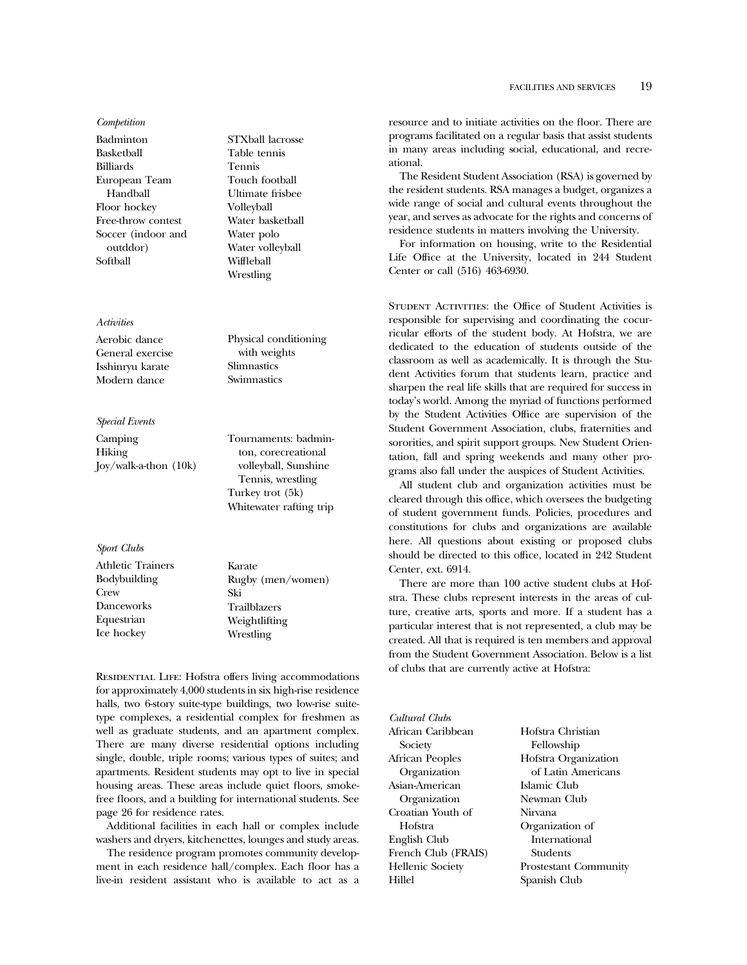*Competition* Badminton Basketball Billiards European Team Handball Floor hockey Free-throw contest Soccer (indoor and outddor) Softball

# *Activities*

Aerobic dance General exercise Isshinryu karate Modern dance

### *Special Events*

Camping Hiking Joy/walk-a-thon (10k) STXball lacrosse Table tennis Tennis Touch football Ultimate frisbee Volleyball Water basketball Water polo Water volleyball Wiffleball Wrestling

Physical conditioning with weights Slimnastics Swimnastics

Tournaments: badminton, corecreational volleyball, Sunshine Tennis, wrestling Turkey trot (5k) Whitewater rafting trip

*Sport Clubs*

Athletic Trainers Bodybuilding **Crew** Danceworks Equestrian Ice hockey

Karate Rugby (men/women) Ski Trailblazers Weightlifting Wrestling

RESIDENTIAL LIFE: Hofstra offers living accommodations for approximately 4,000 students in six high-rise residence halls, two 6-story suite-type buildings, two low-rise suitetype complexes, a residential complex for freshmen as well as graduate students, and an apartment complex. There are many diverse residential options including single, double, triple rooms; various types of suites; and apartments. Resident students may opt to live in special housing areas. These areas include quiet floors, smokefree floors, and a building for international students. See page 26 for residence rates.

Additional facilities in each hall or complex include washers and dryers, kitchenettes, lounges and study areas.

The residence program promotes community development in each residence hall/complex. Each floor has a live-in resident assistant who is available to act as a

resource and to initiate activities on the floor. There are programs facilitated on a regular basis that assist students in many areas including social, educational, and recreational.

The Resident Student Association (RSA) is governed by the resident students. RSA manages a budget, organizes a wide range of social and cultural events throughout the year, and serves as advocate for the rights and concerns of residence students in matters involving the University.

For information on housing, write to the Residential Life Office at the University, located in 244 Student Center or call (516) 463-6930.

Student Activities: the Office of Student Activities is responsible for supervising and coordinating the cocurricular efforts of the student body. At Hofstra, we are dedicated to the education of students outside of the classroom as well as academically. It is through the Student Activities forum that students learn, practice and sharpen the real life skills that are required for success in today's world. Among the myriad of functions performed by the Student Activities Office are supervision of the Student Government Association, clubs, fraternities and sororities, and spirit support groups. New Student Orientation, fall and spring weekends and many other programs also fall under the auspices of Student Activities.

All student club and organization activities must be cleared through this office, which oversees the budgeting of student government funds. Policies, procedures and constitutions for clubs and organizations are available here. All questions about existing or proposed clubs should be directed to this office, located in 242 Student Center, ext. 6914.

There are more than 100 active student clubs at Hofstra. These clubs represent interests in the areas of culture, creative arts, sports and more. If a student has a particular interest that is not represented, a club may be created. All that is required is ten members and approval from the Student Government Association. Below is a list of clubs that are currently active at Hofstra:

*Cultural Clubs* African Caribbean Society African Peoples Organization Asian-American Organization Croatian Youth of Hofstra English Club French Club (FRAIS) Hellenic Society Hillel

Hofstra Christian Fellowship Hofstra Organization of Latin Americans Islamic Club Newman Club Nirvana Organization of International Students Prostestant Community Spanish Club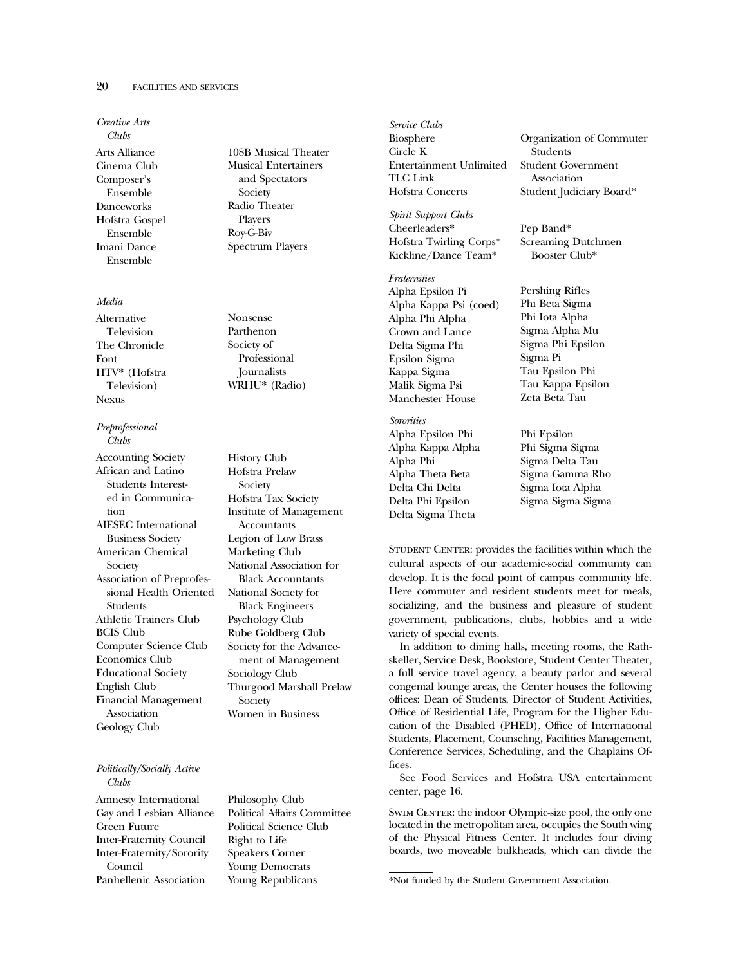# 20 FACILITIES AND SERVICES

*Creative Arts Clubs* Arts Alliance Cinema Club Composer's Ensemble Danceworks Hofstra Gospel Ensemble Imani Dance Ensemble

## *Media*

Alternative Television The Chronicle Font HTV\* (Hofstra Television) Nexus

*Preprofessional Clubs*

Accounting Society African and Latino Students Interested in Communication AIESEC International Business Society American Chemical Society Association of Preprofessional Health Oriented Students Athletic Trainers Club BCIS Club Computer Science Club Economics Club Educational Society English Club Financial Management Association Geology Club

## *Politically/Socially Active Clubs*

Amnesty International Gay and Lesbian Alliance Green Future Inter-Fraternity Council Inter-Fraternity/Sorority Council Panhellenic Association

108B Musical Theater Musical Entertainers and Spectators Society Radio Theater Players Roy-G-Biv Spectrum Players

Nonsense Parthenon Society of Professional **Journalists** WRHU\* (Radio)

History Club Hofstra Prelaw Society Hofstra Tax Society Institute of Management Accountants Legion of Low Brass Marketing Club National Association for Black Accountants National Society for Black Engineers Psychology Club Rube Goldberg Club Society for the Advancement of Management Sociology Club Thurgood Marshall Prelaw Society Women in Business

Philosophy Club Political Affairs Committee Political Science Club Right to Life Speakers Corner Young Democrats Young Republicans

*Service Clubs* Biosphere Circle K Entertainment Unlimited TLC Link Hofstra Concerts

*Spirit Support Clubs* Cheerleaders\* Hofstra Twirling Corps\* Kickline/Dance Team\*

*Fraternities* Alpha Epsilon Pi Alpha Kappa Psi (coed) Alpha Phi Alpha

Crown and Lance Delta Sigma Phi Epsilon Sigma Kappa Sigma Malik Sigma Psi Manchester House

*Sororities* Alpha Epsilon Phi Alpha Kappa Alpha Alpha Phi Alpha Theta Beta Delta Chi Delta Delta Phi Epsilon Delta Sigma Theta

Organization of Commuter Students Student Government Association Student Judiciary Board\*

Pep Band\* Screaming Dutchmen Booster Club\*

Pershing Rifles Phi Beta Sigma Phi Iota Alpha Sigma Alpha Mu Sigma Phi Epsilon Sigma Pi Tau Epsilon Phi Tau Kappa Epsilon Zeta Beta Tau

Phi Epsilon Phi Sigma Sigma Sigma Delta Tau Sigma Gamma Rho Sigma Iota Alpha Sigma Sigma Sigma

STUDENT CENTER: provides the facilities within which the cultural aspects of our academic-social community can develop. It is the focal point of campus community life. Here commuter and resident students meet for meals, socializing, and the business and pleasure of student government, publications, clubs, hobbies and a wide variety of special events.

In addition to dining halls, meeting rooms, the Rathskeller, Service Desk, Bookstore, Student Center Theater, a full service travel agency, a beauty parlor and several congenial lounge areas, the Center houses the following offices: Dean of Students, Director of Student Activities, Office of Residential Life, Program for the Higher Education of the Disabled (PHED), Office of International Students, Placement, Counseling, Facilities Management, Conference Services, Scheduling, and the Chaplains Offices.

See Food Services and Hofstra USA entertainment center, page 16.

SWIM CENTER: the indoor Olympic-size pool, the only one located in the metropolitan area, occupies the South wing of the Physical Fitness Center. It includes four diving boards, two moveable bulkheads, which can divide the

<sup>\*</sup>Not funded by the Student Government Association.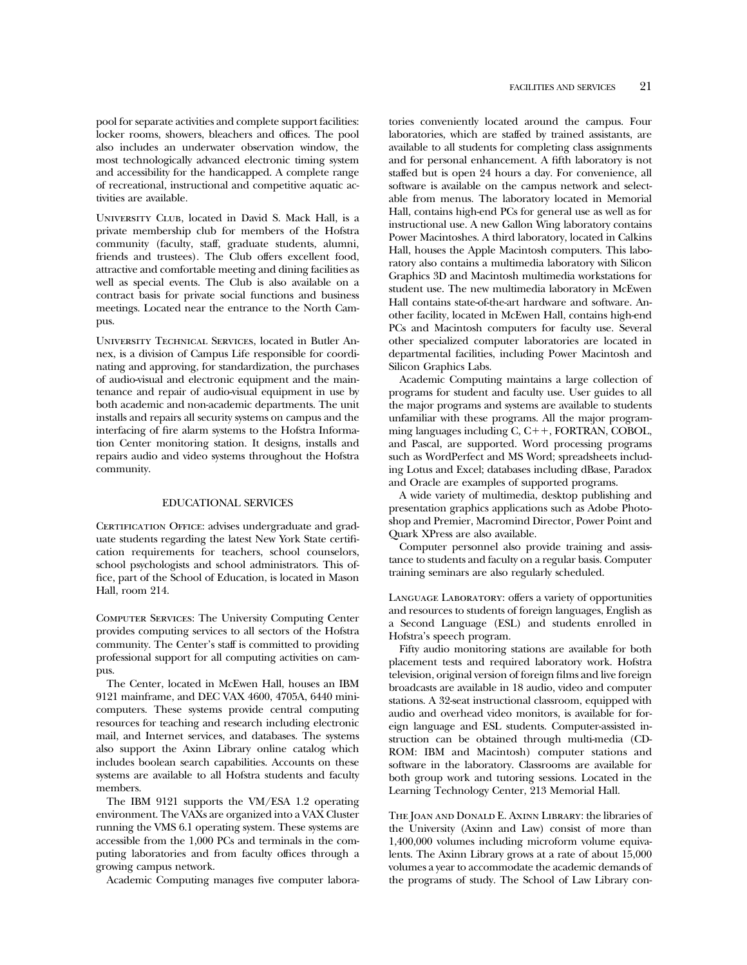pool for separate activities and complete support facilities: locker rooms, showers, bleachers and offices. The pool also includes an underwater observation window, the most technologically advanced electronic timing system and accessibility for the handicapped. A complete range of recreational, instructional and competitive aquatic activities are available.

University Club, located in David S. Mack Hall, is a private membership club for members of the Hofstra community (faculty, staff, graduate students, alumni, friends and trustees). The Club offers excellent food, attractive and comfortable meeting and dining facilities as well as special events. The Club is also available on a contract basis for private social functions and business meetings. Located near the entrance to the North Campus.

University Technical Services, located in Butler Annex, is a division of Campus Life responsible for coordinating and approving, for standardization, the purchases of audio-visual and electronic equipment and the maintenance and repair of audio-visual equipment in use by both academic and non-academic departments. The unit installs and repairs all security systems on campus and the interfacing of fire alarm systems to the Hofstra Information Center monitoring station. It designs, installs and repairs audio and video systems throughout the Hofstra community.

### EDUCATIONAL SERVICES

CERTIFICATION OFFICE: advises undergraduate and graduate students regarding the latest New York State certification requirements for teachers, school counselors, school psychologists and school administrators. This office, part of the School of Education, is located in Mason Hall, room 214.

Computer Services: The University Computing Center provides computing services to all sectors of the Hofstra community. The Center's staff is committed to providing professional support for all computing activities on campus.

The Center, located in McEwen Hall, houses an IBM 9121 mainframe, and DEC VAX 4600, 4705A, 6440 minicomputers. These systems provide central computing resources for teaching and research including electronic mail, and Internet services, and databases. The systems also support the Axinn Library online catalog which includes boolean search capabilities. Accounts on these systems are available to all Hofstra students and faculty members.

The IBM 9121 supports the VM/ESA 1.2 operating environment. The VAXs are organized into a VAX Cluster running the VMS 6.1 operating system. These systems are accessible from the 1,000 PCs and terminals in the computing laboratories and from faculty offices through a growing campus network.

Academic Computing manages five computer labora-

tories conveniently located around the campus. Four laboratories, which are staffed by trained assistants, are available to all students for completing class assignments and for personal enhancement. A fifth laboratory is not staffed but is open 24 hours a day. For convenience, all software is available on the campus network and selectable from menus. The laboratory located in Memorial Hall, contains high-end PCs for general use as well as for instructional use. A new Gallon Wing laboratory contains Power Macintoshes. A third laboratory, located in Calkins Hall, houses the Apple Macintosh computers. This laboratory also contains a multimedia laboratory with Silicon Graphics 3D and Macintosh multimedia workstations for student use. The new multimedia laboratory in McEwen Hall contains state-of-the-art hardware and software. Another facility, located in McEwen Hall, contains high-end PCs and Macintosh computers for faculty use. Several other specialized computer laboratories are located in departmental facilities, including Power Macintosh and Silicon Graphics Labs.

Academic Computing maintains a large collection of programs for student and faculty use. User guides to all the major programs and systems are available to students unfamiliar with these programs. All the major programming languages including  $C, C++, FORTRAN, COBOL,$ and Pascal, are supported. Word processing programs such as WordPerfect and MS Word; spreadsheets including Lotus and Excel; databases including dBase, Paradox and Oracle are examples of supported programs.

A wide variety of multimedia, desktop publishing and presentation graphics applications such as Adobe Photoshop and Premier, Macromind Director, Power Point and Quark XPress are also available.

Computer personnel also provide training and assistance to students and faculty on a regular basis. Computer training seminars are also regularly scheduled.

Language Laboratory: offers a variety of opportunities and resources to students of foreign languages, English as a Second Language (ESL) and students enrolled in Hofstra's speech program.

Fifty audio monitoring stations are available for both placement tests and required laboratory work. Hofstra television, original version of foreign films and live foreign broadcasts are available in 18 audio, video and computer stations. A 32-seat instructional classroom, equipped with audio and overhead video monitors, is available for foreign language and ESL students. Computer-assisted instruction can be obtained through multi-media (CD-ROM: IBM and Macintosh) computer stations and software in the laboratory. Classrooms are available for both group work and tutoring sessions. Located in the Learning Technology Center, 213 Memorial Hall.

THE JOAN AND DONALD E. AXINN LIBRARY: the libraries of the University (Axinn and Law) consist of more than 1,400,000 volumes including microform volume equivalents. The Axinn Library grows at a rate of about 15,000 volumes a year to accommodate the academic demands of the programs of study. The School of Law Library con-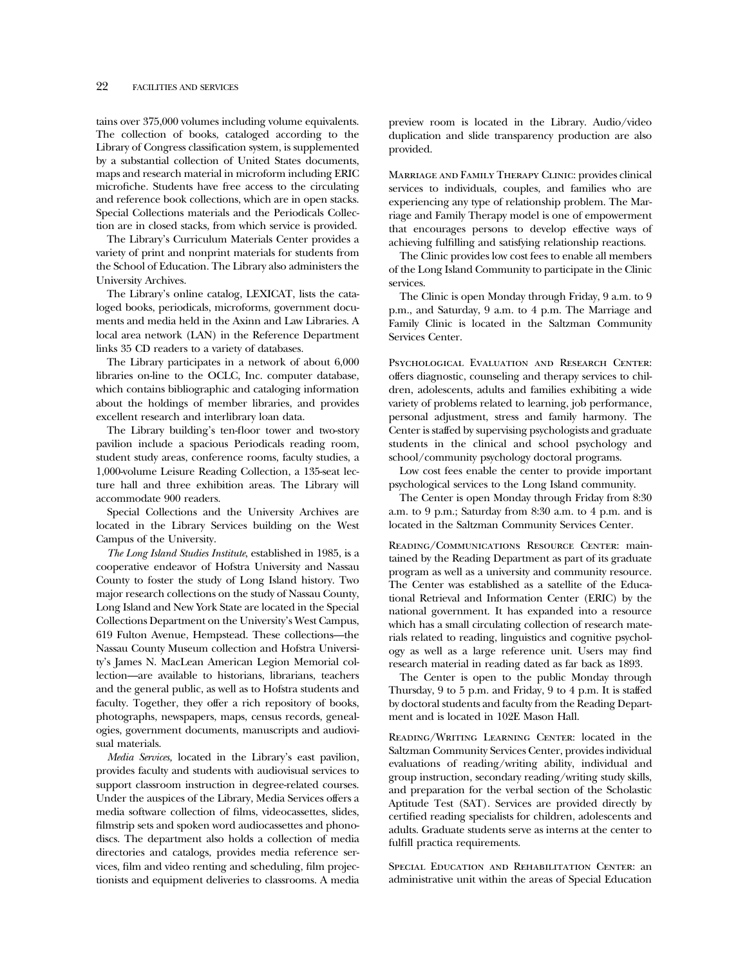# 22 FACILITIES AND SERVICES

tains over 375,000 volumes including volume equivalents. The collection of books, cataloged according to the Library of Congress classification system, is supplemented by a substantial collection of United States documents, maps and research material in microform including ERIC microfiche. Students have free access to the circulating and reference book collections, which are in open stacks. Special Collections materials and the Periodicals Collection are in closed stacks, from which service is provided.

The Library's Curriculum Materials Center provides a variety of print and nonprint materials for students from the School of Education. The Library also administers the University Archives.

The Library's online catalog, LEXICAT, lists the cataloged books, periodicals, microforms, government documents and media held in the Axinn and Law Libraries. A local area network (LAN) in the Reference Department links 35 CD readers to a variety of databases.

The Library participates in a network of about 6,000 libraries on-line to the OCLC, Inc. computer database, which contains bibliographic and cataloging information about the holdings of member libraries, and provides excellent research and interlibrary loan data.

The Library building's ten-floor tower and two-story pavilion include a spacious Periodicals reading room, student study areas, conference rooms, faculty studies, a 1,000-volume Leisure Reading Collection, a 135-seat lecture hall and three exhibition areas. The Library will accommodate 900 readers.

Special Collections and the University Archives are located in the Library Services building on the West Campus of the University.

*The Long Island Studies Institute*, established in 1985, is a cooperative endeavor of Hofstra University and Nassau County to foster the study of Long Island history. Two major research collections on the study of Nassau County, Long Island and New York State are located in the Special Collections Department on the University's West Campus, 619 Fulton Avenue, Hempstead. These collections—the Nassau County Museum collection and Hofstra University's James N. MacLean American Legion Memorial collection—are available to historians, librarians, teachers and the general public, as well as to Hofstra students and faculty. Together, they offer a rich repository of books, photographs, newspapers, maps, census records, genealogies, government documents, manuscripts and audiovisual materials.

*Media Services,* located in the Library's east pavilion, provides faculty and students with audiovisual services to support classroom instruction in degree-related courses. Under the auspices of the Library, Media Services offers a media software collection of films, videocassettes, slides, filmstrip sets and spoken word audiocassettes and phonodiscs. The department also holds a collection of media directories and catalogs, provides media reference services, film and video renting and scheduling, film projectionists and equipment deliveries to classrooms. A media preview room is located in the Library. Audio/video duplication and slide transparency production are also provided.

Marriage and Family Therapy Clinic: provides clinical services to individuals, couples, and families who are experiencing any type of relationship problem. The Marriage and Family Therapy model is one of empowerment that encourages persons to develop effective ways of achieving fulfilling and satisfying relationship reactions.

The Clinic provides low cost fees to enable all members of the Long Island Community to participate in the Clinic services.

The Clinic is open Monday through Friday, 9 a.m. to 9 p.m., and Saturday, 9 a.m. to 4 p.m. The Marriage and Family Clinic is located in the Saltzman Community Services Center.

Psychological Evaluation and Research Center: offers diagnostic, counseling and therapy services to children, adolescents, adults and families exhibiting a wide variety of problems related to learning, job performance, personal adjustment, stress and family harmony. The Center is staffed by supervising psychologists and graduate students in the clinical and school psychology and school/community psychology doctoral programs.

Low cost fees enable the center to provide important psychological services to the Long Island community.

The Center is open Monday through Friday from 8:30 a.m. to 9 p.m.; Saturday from 8:30 a.m. to 4 p.m. and is located in the Saltzman Community Services Center.

Reading/Communications Resource Center: maintained by the Reading Department as part of its graduate program as well as a university and community resource. The Center was established as a satellite of the Educational Retrieval and Information Center (ERIC) by the national government. It has expanded into a resource which has a small circulating collection of research materials related to reading, linguistics and cognitive psychology as well as a large reference unit. Users may find research material in reading dated as far back as 1893.

The Center is open to the public Monday through Thursday, 9 to 5 p.m. and Friday, 9 to 4 p.m. It is staffed by doctoral students and faculty from the Reading Department and is located in 102E Mason Hall.

Reading/Writing Learning Center: located in the Saltzman Community Services Center, provides individual evaluations of reading/writing ability, individual and group instruction, secondary reading/writing study skills, and preparation for the verbal section of the Scholastic Aptitude Test (SAT). Services are provided directly by certified reading specialists for children, adolescents and adults. Graduate students serve as interns at the center to fulfill practica requirements.

Special Education and Rehabilitation Center: an administrative unit within the areas of Special Education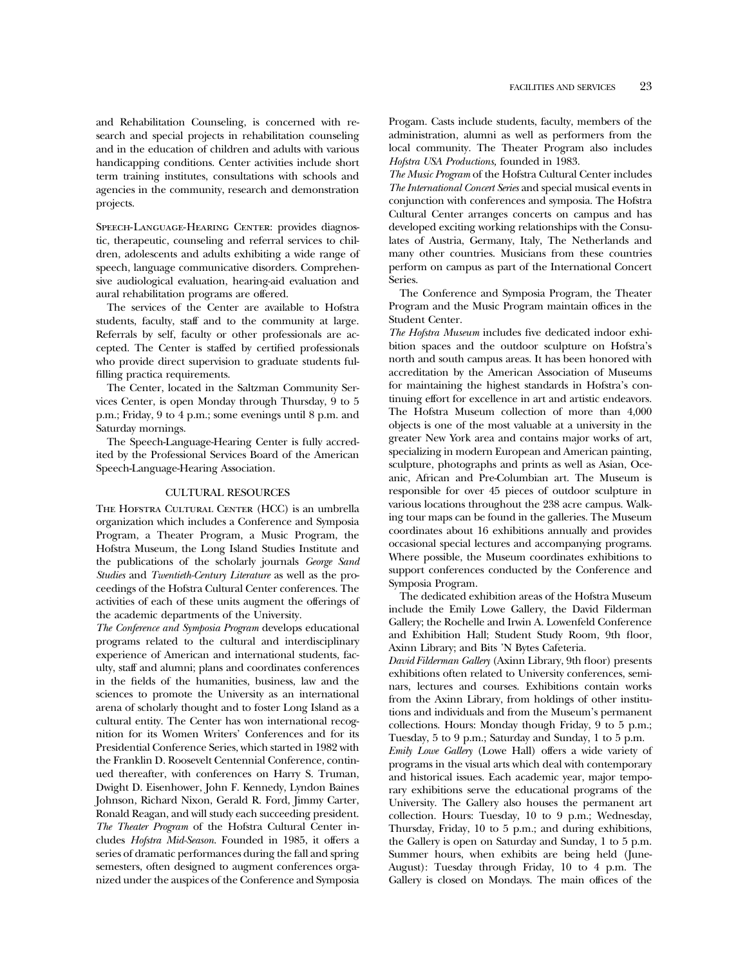and Rehabilitation Counseling, is concerned with research and special projects in rehabilitation counseling and in the education of children and adults with various handicapping conditions. Center activities include short term training institutes, consultations with schools and agencies in the community, research and demonstration projects.

SPEECH-LANGUAGE-HEARING CENTER: provides diagnostic, therapeutic, counseling and referral services to children, adolescents and adults exhibiting a wide range of speech, language communicative disorders. Comprehensive audiological evaluation, hearing-aid evaluation and aural rehabilitation programs are offered.

The services of the Center are available to Hofstra students, faculty, staff and to the community at large. Referrals by self, faculty or other professionals are accepted. The Center is staffed by certified professionals who provide direct supervision to graduate students fulfilling practica requirements.

The Center, located in the Saltzman Community Services Center, is open Monday through Thursday, 9 to 5 p.m.; Friday, 9 to 4 p.m.; some evenings until 8 p.m. and Saturday mornings.

The Speech-Language-Hearing Center is fully accredited by the Professional Services Board of the American Speech-Language-Hearing Association.

### CULTURAL RESOURCES

The Hofstra Cultural Center (HCC) is an umbrella organization which includes a Conference and Symposia Program, a Theater Program, a Music Program, the Hofstra Museum, the Long Island Studies Institute and the publications of the scholarly journals *George Sand Studies* and *Twentieth-Century Literature* as well as the proceedings of the Hofstra Cultural Center conferences. The activities of each of these units augment the offerings of the academic departments of the University.

*The Conference and Symposia Program* develops educational programs related to the cultural and interdisciplinary experience of American and international students, faculty, staff and alumni; plans and coordinates conferences in the fields of the humanities, business, law and the sciences to promote the University as an international arena of scholarly thought and to foster Long Island as a cultural entity. The Center has won international recognition for its Women Writers' Conferences and for its Presidential Conference Series, which started in 1982 with the Franklin D. Roosevelt Centennial Conference, continued thereafter, with conferences on Harry S. Truman, Dwight D. Eisenhower, John F. Kennedy, Lyndon Baines Johnson, Richard Nixon, Gerald R. Ford, Jimmy Carter, Ronald Reagan, and will study each succeeding president. *The Theater Program* of the Hofstra Cultural Center includes *Hofstra Mid-Season*. Founded in 1985, it offers a series of dramatic performances during the fall and spring semesters, often designed to augment conferences organized under the auspices of the Conference and Symposia Progam. Casts include students, faculty, members of the administration, alumni as well as performers from the local community. The Theater Program also includes *Hofstra USA Productions,* founded in 1983.

*The Music Program* of the Hofstra Cultural Center includes *The International Concert Series* and special musical events in conjunction with conferences and symposia. The Hofstra Cultural Center arranges concerts on campus and has developed exciting working relationships with the Consulates of Austria, Germany, Italy, The Netherlands and many other countries. Musicians from these countries perform on campus as part of the International Concert Series.

The Conference and Symposia Program, the Theater Program and the Music Program maintain offices in the Student Center.

*The Hofstra Museum* includes five dedicated indoor exhibition spaces and the outdoor sculpture on Hofstra's north and south campus areas. It has been honored with accreditation by the American Association of Museums for maintaining the highest standards in Hofstra's continuing effort for excellence in art and artistic endeavors. The Hofstra Museum collection of more than 4,000 objects is one of the most valuable at a university in the greater New York area and contains major works of art, specializing in modern European and American painting, sculpture, photographs and prints as well as Asian, Oceanic, African and Pre-Columbian art. The Museum is responsible for over 45 pieces of outdoor sculpture in various locations throughout the 238 acre campus. Walking tour maps can be found in the galleries. The Museum coordinates about 16 exhibitions annually and provides occasional special lectures and accompanying programs. Where possible, the Museum coordinates exhibitions to support conferences conducted by the Conference and Symposia Program.

The dedicated exhibition areas of the Hofstra Museum include the Emily Lowe Gallery, the David Filderman Gallery; the Rochelle and Irwin A. Lowenfeld Conference and Exhibition Hall; Student Study Room, 9th floor, Axinn Library; and Bits 'N Bytes Cafeteria.

*David Filderman Gallery* (Axinn Library, 9th floor) presents exhibitions often related to University conferences, seminars, lectures and courses. Exhibitions contain works from the Axinn Library, from holdings of other institutions and individuals and from the Museum's permanent collections. Hours: Monday though Friday, 9 to 5 p.m.; Tuesday, 5 to 9 p.m.; Saturday and Sunday, 1 to 5 p.m. *Emily Lowe Gallery* (Lowe Hall) offers a wide variety of programs in the visual arts which deal with contemporary and historical issues. Each academic year, major temporary exhibitions serve the educational programs of the University. The Gallery also houses the permanent art collection. Hours: Tuesday, 10 to 9 p.m.; Wednesday, Thursday, Friday, 10 to 5 p.m.; and during exhibitions, the Gallery is open on Saturday and Sunday, 1 to 5 p.m. Summer hours, when exhibits are being held (June-August): Tuesday through Friday, 10 to 4 p.m. The Gallery is closed on Mondays. The main offices of the